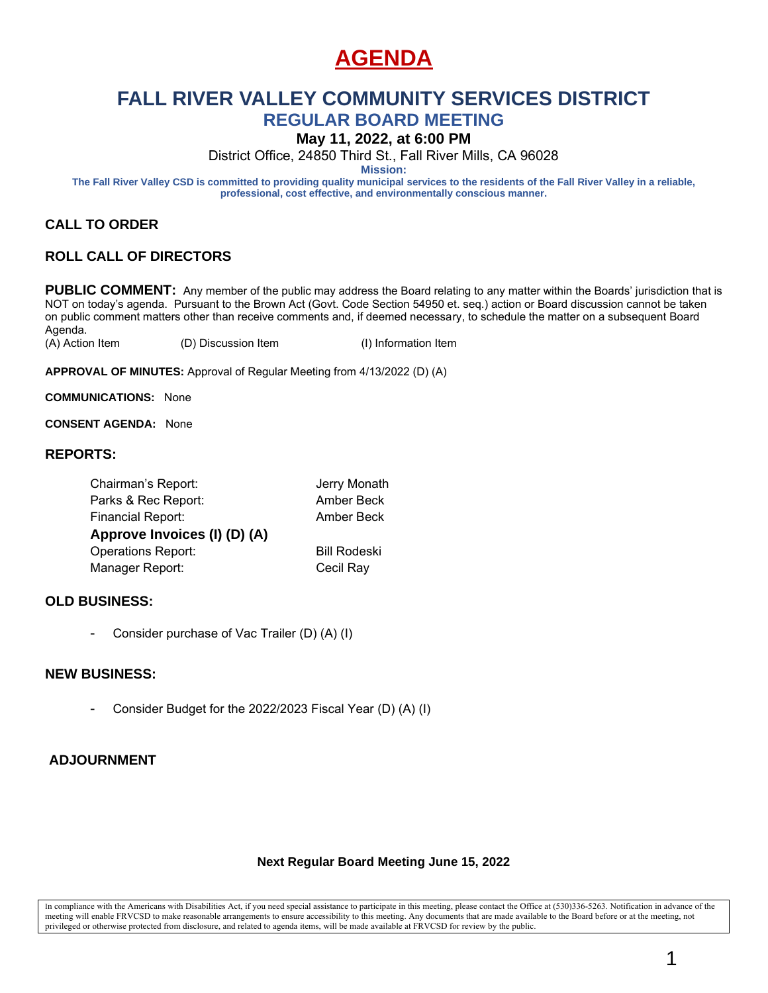## **AGENDA**

# **FALL RIVER VALLEY COMMUNITY SERVICES DISTRICT**

**REGULAR BOARD MEETING**

**May 11, 2022, at 6:00 PM**

District Office, 24850 Third St., Fall River Mills, CA 96028

**Mission:**

**The Fall River Valley CSD is committed to providing quality municipal services to the residents of the Fall River Valley in a reliable, professional, cost effective, and environmentally conscious manner.**

### **CALL TO ORDER**

### **ROLL CALL OF DIRECTORS**

PUBLIC COMMENT: Any member of the public may address the Board relating to any matter within the Boards' jurisdiction that is NOT on today's agenda. Pursuant to the Brown Act (Govt. Code Section 54950 et. seq.) action or Board discussion cannot be taken on public comment matters other than receive comments and, if deemed necessary, to schedule the matter on a subsequent Board Agenda.

(A) Action Item (D) Discussion Item (I) Information Item

**APPROVAL OF MINUTES:** Approval of Regular Meeting from 4/13/2022 (D) (A)

**COMMUNICATIONS:** None

**CONSENT AGENDA:** None

### **REPORTS:**

| Chairman's Report:           | Jerry Monath        |
|------------------------------|---------------------|
| Parks & Rec Report:          | Amber Beck          |
| <b>Financial Report:</b>     | Amber Beck          |
| Approve Invoices (I) (D) (A) |                     |
| <b>Operations Report:</b>    | <b>Bill Rodeski</b> |
| Manager Report:              | Cecil Ray           |
|                              |                     |

### **OLD BUSINESS:**

Consider purchase of Vac Trailer (D) (A) (I)

#### **NEW BUSINESS:**

- Consider Budget for the 2022/2023 Fiscal Year (D) (A) (I)

### **ADJOURNMENT**

#### **Next Regular Board Meeting June 15, 2022**

In compliance with the Americans with Disabilities Act, if you need special assistance to participate in this meeting, please contact the Office at (530)336-5263. Notification in advance of the meeting will enable FRVCSD to make reasonable arrangements to ensure accessibility to this meeting. Any documents that are made available to the Board before or at the meeting, not privileged or otherwise protected from disclosure, and related to agenda items, will be made available at FRVCSD for review by the public.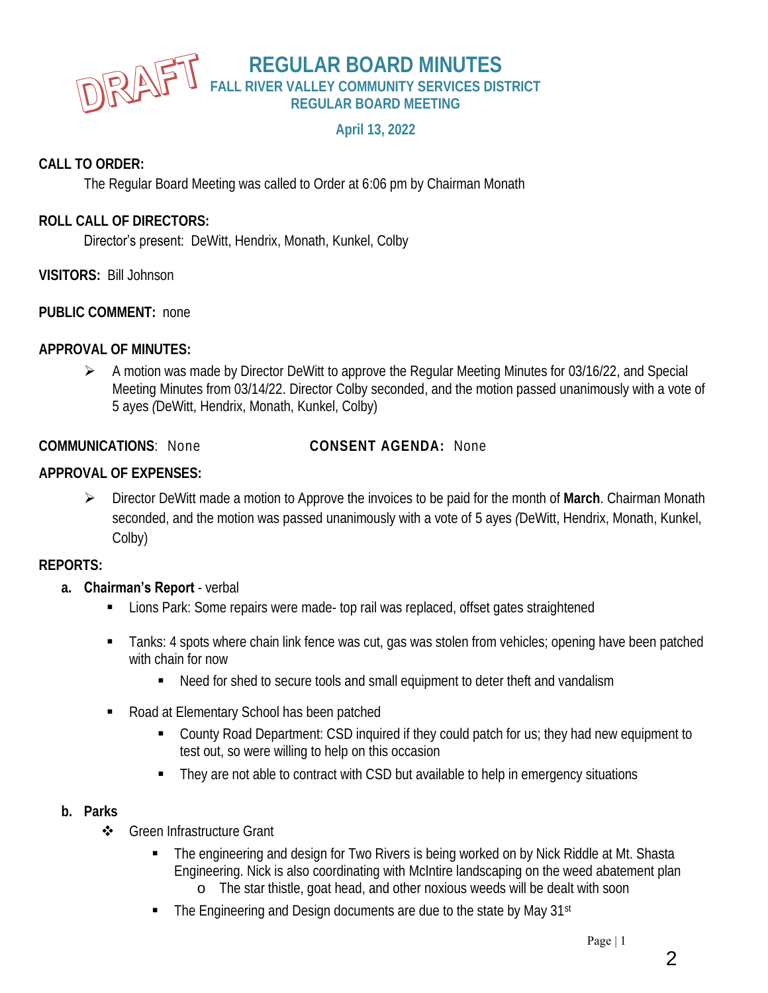

### **REGULAR BOARD MINUTES FALL RIVER VALLEY COMMUNITY SERVICES DISTRICT REGULAR BOARD MEETING**

### **April 13, 2022**

### **CALL TO ORDER:**

The Regular Board Meeting was called to Order at 6:06 pm by Chairman Monath

### **ROLL CALL OF DIRECTORS:**

Director's present: DeWitt, Hendrix, Monath, Kunkel, Colby

**VISITORS:** Bill Johnson

**PUBLIC COMMENT:** none

**APPROVAL OF MINUTES:**

➢ A motion was made by Director DeWitt to approve the Regular Meeting Minutes for 03/16/22, and Special Meeting Minutes from 03/14/22. Director Colby seconded, and the motion passed unanimously with a vote of 5 ayes *(*DeWitt, Hendrix, Monath, Kunkel, Colby)

**COMMUNICATIONS**: None **CONSENT AGENDA:** None

### **APPROVAL OF EXPENSES:**

➢ Director DeWitt made a motion to Approve the invoices to be paid for the month of **March**. Chairman Monath seconded, and the motion was passed unanimously with a vote of 5 ayes *(*DeWitt, Hendrix, Monath, Kunkel, Colby)

### **REPORTS:**

### **a. Chairman's Report** - verbal

- Lions Park: Some repairs were made- top rail was replaced, offset gates straightened
- **Tanks: 4 spots where chain link fence was cut, gas was stolen from vehicles; opening have been patched** with chain for now
	- Need for shed to secure tools and small equipment to deter theft and vandalism
- Road at Elementary School has been patched
	- County Road Department: CSD inquired if they could patch for us; they had new equipment to test out, so were willing to help on this occasion
	- They are not able to contract with CSD but available to help in emergency situations

### **b. Parks**

- ❖ Green Infrastructure Grant
	- The engineering and design for Two Rivers is being worked on by Nick Riddle at Mt. Shasta Engineering. Nick is also coordinating with McIntire landscaping on the weed abatement plan o The star thistle, goat head, and other noxious weeds will be dealt with soon
	- The Engineering and Design documents are due to the state by May 31<sup>st</sup>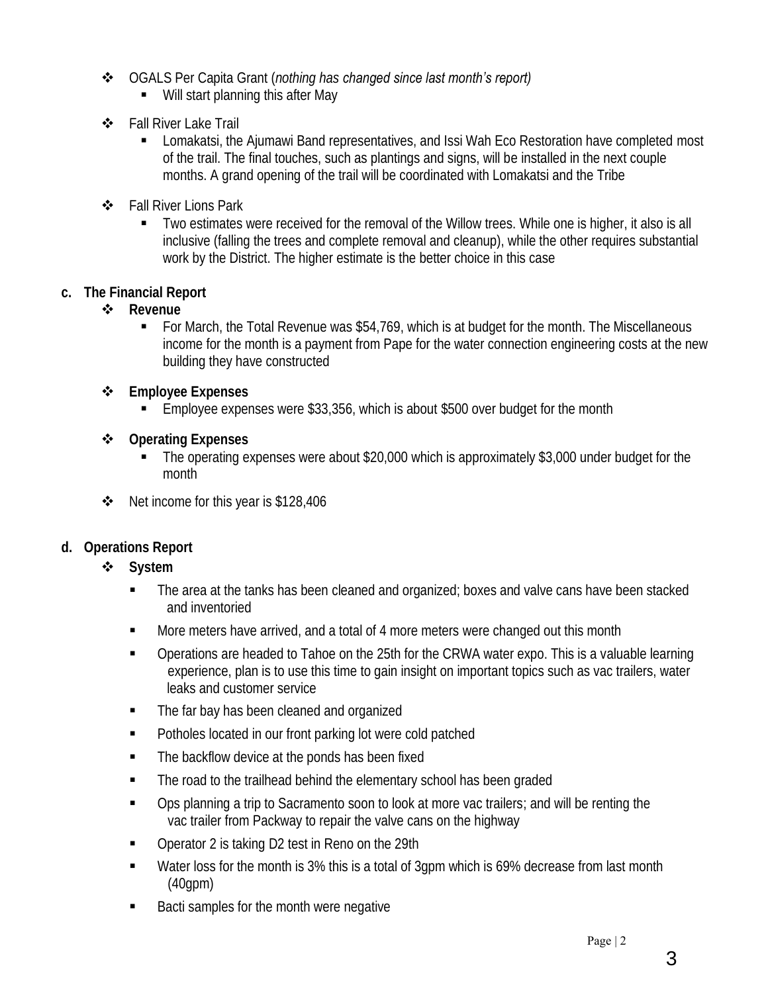- ❖ OGALS Per Capita Grant (*nothing has changed since last month's report)*
	- Will start planning this after May
- ❖ Fall River Lake Trail
	- Lomakatsi, the Ajumawi Band representatives, and Issi Wah Eco Restoration have completed most of the trail. The final touches, such as plantings and signs, will be installed in the next couple months. A grand opening of the trail will be coordinated with Lomakatsi and the Tribe
- ❖ Fall River Lions Park
	- Two estimates were received for the removal of the Willow trees. While one is higher, it also is all inclusive (falling the trees and complete removal and cleanup), while the other requires substantial work by the District. The higher estimate is the better choice in this case
- **c. The Financial Report**
	- ❖ **Revenue**
		- For March, the Total Revenue was \$54,769, which is at budget for the month. The Miscellaneous income for the month is a payment from Pape for the water connection engineering costs at the new building they have constructed
	- ❖ **Employee Expenses**
		- Employee expenses were \$33,356, which is about \$500 over budget for the month
	- ❖ **Operating Expenses**
		- The operating expenses were about \$20,000 which is approximately \$3,000 under budget for the month
	- ❖ Net income for this year is \$128,406
- **d. Operations Report**
	- ❖ **System**
		- The area at the tanks has been cleaned and organized; boxes and valve cans have been stacked and inventoried
		- More meters have arrived, and a total of 4 more meters were changed out this month
		- Operations are headed to Tahoe on the 25th for the CRWA water expo. This is a valuable learning experience, plan is to use this time to gain insight on important topics such as vac trailers, water leaks and customer service
		- The far bay has been cleaned and organized
		- Potholes located in our front parking lot were cold patched
		- The backflow device at the ponds has been fixed
		- The road to the trailhead behind the elementary school has been graded
		- Ops planning a trip to Sacramento soon to look at more vac trailers; and will be renting the vac trailer from Packway to repair the valve cans on the highway
		- Operator 2 is taking D2 test in Reno on the 29th
		- Water loss for the month is 3% this is a total of 3gpm which is 69% decrease from last month (40gpm)
		- Bacti samples for the month were negative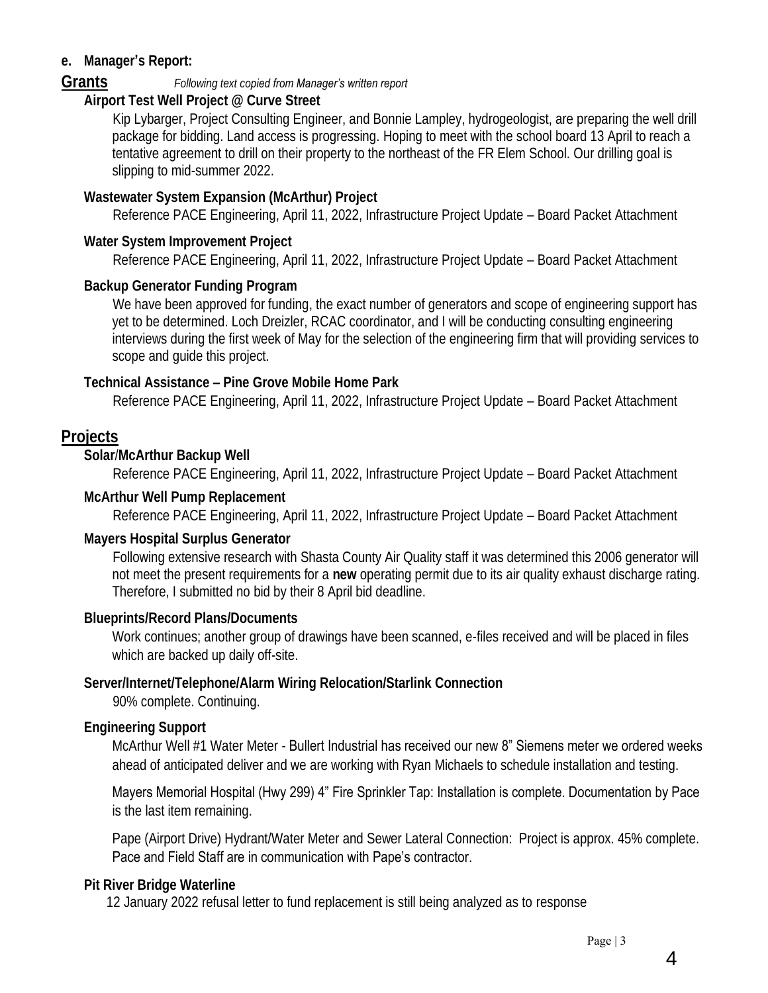### **e. Manager's Report:**

### **Grants** *Following text copied from Manager's written report*

**Airport Test Well Project @ Curve Street**

Kip Lybarger, Project Consulting Engineer, and Bonnie Lampley, hydrogeologist, are preparing the well drill package for bidding. Land access is progressing. Hoping to meet with the school board 13 April to reach a tentative agreement to drill on their property to the northeast of the FR Elem School. Our drilling goal is slipping to mid-summer 2022.

### **Wastewater System Expansion (McArthur) Project**

Reference PACE Engineering, April 11, 2022, Infrastructure Project Update – Board Packet Attachment

### **Water System Improvement Project**

Reference PACE Engineering, April 11, 2022, Infrastructure Project Update – Board Packet Attachment

## **Backup Generator Funding Program**

We have been approved for funding, the exact number of generators and scope of engineering support has yet to be determined. Loch Dreizler, RCAC coordinator, and I will be conducting consulting engineering interviews during the first week of May for the selection of the engineering firm that will providing services to scope and guide this project.

### **Technical Assistance – Pine Grove Mobile Home Park**

Reference PACE Engineering, April 11, 2022, Infrastructure Project Update – Board Packet Attachment

## **Projects**

**Solar**/**McArthur Backup Well**

Reference PACE Engineering, April 11, 2022, Infrastructure Project Update – Board Packet Attachment

### **McArthur Well Pump Replacement**

Reference PACE Engineering, April 11, 2022, Infrastructure Project Update – Board Packet Attachment

### **Mayers Hospital Surplus Generator**

Following extensive research with Shasta County Air Quality staff it was determined this 2006 generator will not meet the present requirements for a **new** operating permit due to its air quality exhaust discharge rating. Therefore, I submitted no bid by their 8 April bid deadline.

## **Blueprints/Record Plans/Documents**

Work continues; another group of drawings have been scanned, e-files received and will be placed in files which are backed up daily off-site.

### **Server/Internet/Telephone/Alarm Wiring Relocation/Starlink Connection** 90% complete. Continuing.

## **Engineering Support**

McArthur Well #1 Water Meter - Bullert Industrial has received our new 8" Siemens meter we ordered weeks ahead of anticipated deliver and we are working with Ryan Michaels to schedule installation and testing.

### Mayers Memorial Hospital (Hwy 299) 4" Fire Sprinkler Tap: Installation is complete. Documentation by Pace is the last item remaining.

Pape (Airport Drive) Hydrant/Water Meter and Sewer Lateral Connection: Project is approx. 45% complete. Pace and Field Staff are in communication with Pape's contractor.

## **Pit River Bridge Waterline**

12 January 2022 refusal letter to fund replacement is still being analyzed as to response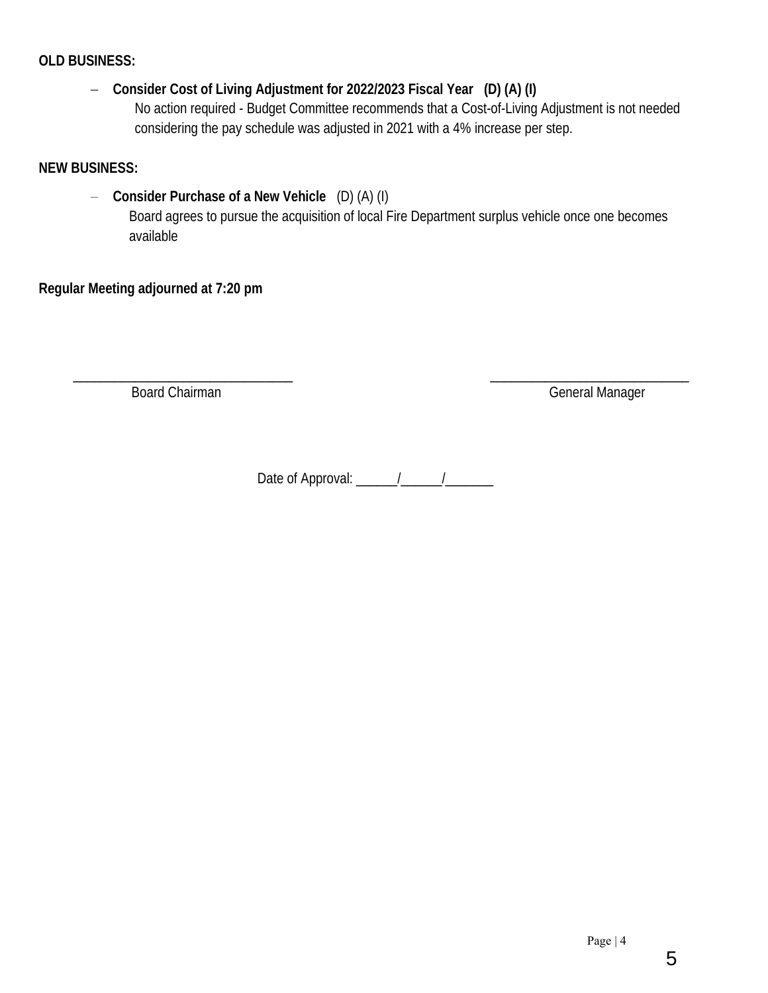### **OLD BUSINESS:**

− **Consider Cost of Living Adjustment for 2022/2023 Fiscal Year (D) (A) (I)** No action required - Budget Committee recommends that a Cost-of-Living Adjustment is not needed considering the pay schedule was adjusted in 2021 with a 4% increase per step.

**NEW BUSINESS:**

− **Consider Purchase of a New Vehicle** (D) (A) (I) Board agrees to pursue the acquisition of local Fire Department surplus vehicle once one becomes available

**Regular Meeting adjourned at 7:20 pm** 

 $\frac{1}{2}$  ,  $\frac{1}{2}$  ,  $\frac{1}{2}$  ,  $\frac{1}{2}$  ,  $\frac{1}{2}$  ,  $\frac{1}{2}$  ,  $\frac{1}{2}$  ,  $\frac{1}{2}$  ,  $\frac{1}{2}$  ,  $\frac{1}{2}$  ,  $\frac{1}{2}$  ,  $\frac{1}{2}$  ,  $\frac{1}{2}$  ,  $\frac{1}{2}$  ,  $\frac{1}{2}$  ,  $\frac{1}{2}$  ,  $\frac{1}{2}$  ,  $\frac{1}{2}$  ,  $\frac{1$ 

Board Chairman General Manager

Date of Approval:  $\frac{1}{2}$   $\frac{1}{2}$   $\frac{1}{2}$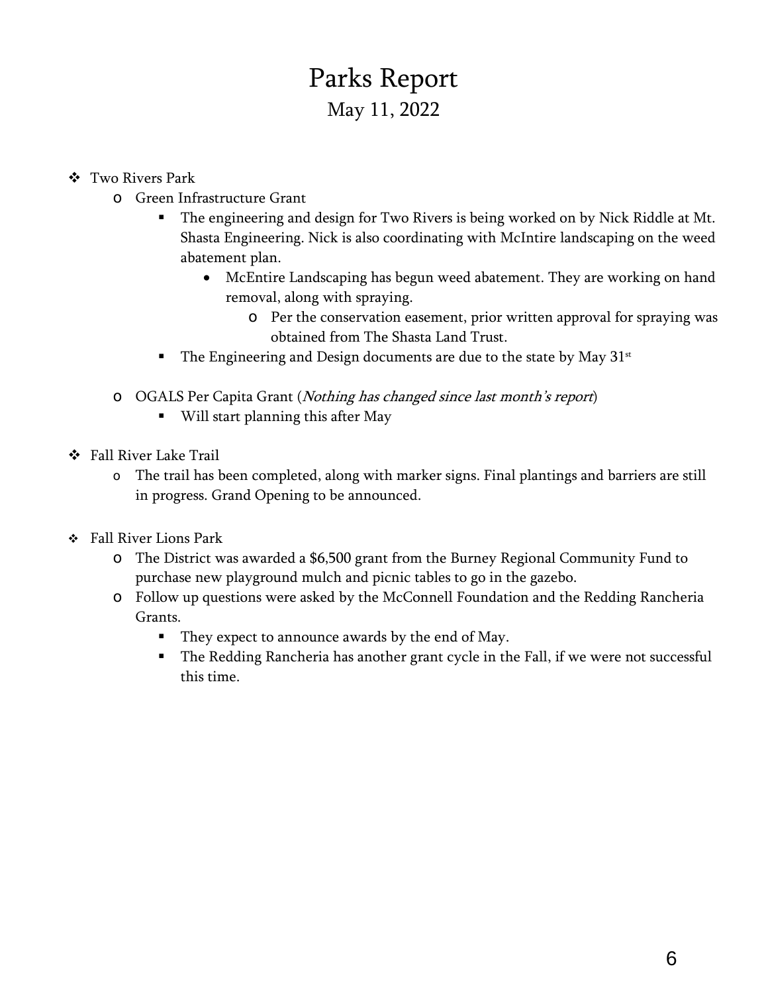# Parks Report May 11, 2022

- ❖ Two Rivers Park
	- o Green Infrastructure Grant
		- **The engineering and design for Two Rivers is being worked on by Nick Riddle at Mt.** Shasta Engineering. Nick is also coordinating with McIntire landscaping on the weed abatement plan.
			- McEntire Landscaping has begun weed abatement. They are working on hand removal, along with spraying.
				- o Per the conservation easement, prior written approval for spraying was obtained from The Shasta Land Trust.
		- The Engineering and Design documents are due to the state by May  $31<sup>st</sup>$
	- o OGALS Per Capita Grant (Nothing has changed since last month's report)
		- Will start planning this after May
- ❖ Fall River Lake Trail
	- o The trail has been completed, along with marker signs. Final plantings and barriers are still in progress. Grand Opening to be announced.
- ❖ Fall River Lions Park
	- o The District was awarded a \$6,500 grant from the Burney Regional Community Fund to purchase new playground mulch and picnic tables to go in the gazebo.
	- o Follow up questions were asked by the McConnell Foundation and the Redding Rancheria Grants.
		- They expect to announce awards by the end of May.
		- The Redding Rancheria has another grant cycle in the Fall, if we were not successful this time.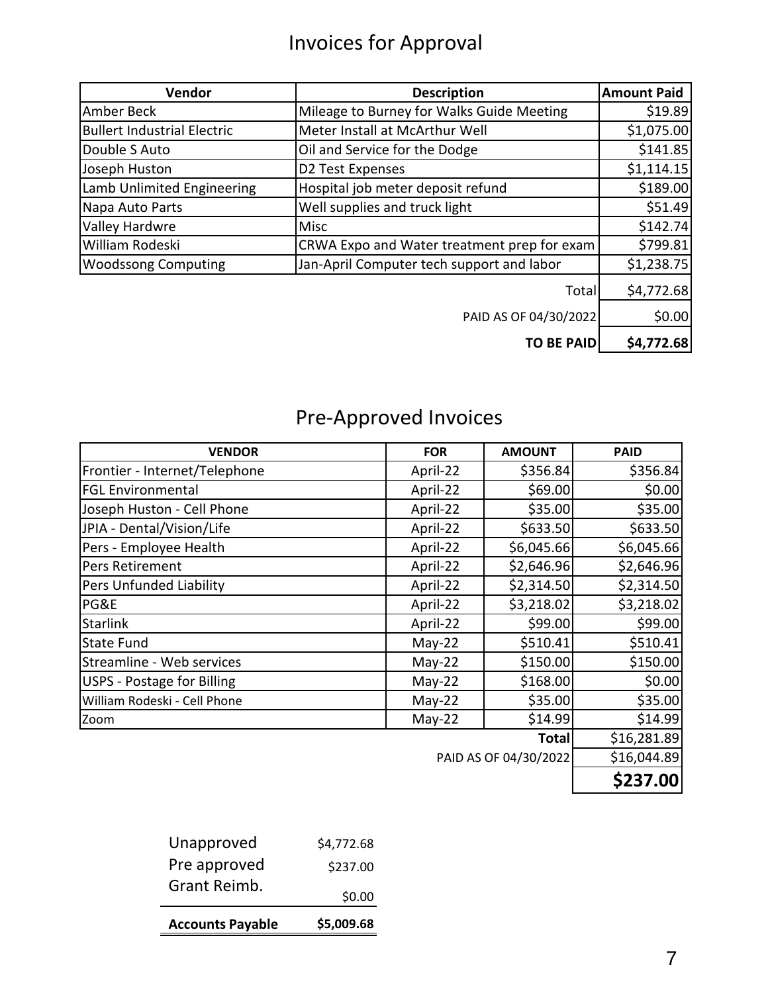# Invoices for Approval

| Vendor                             | <b>Description</b>                          | <b>Amount Paid</b> |
|------------------------------------|---------------------------------------------|--------------------|
| Amber Beck                         | Mileage to Burney for Walks Guide Meeting   | \$19.89            |
| <b>Bullert Industrial Electric</b> | Meter Install at McArthur Well              | \$1,075.00         |
| Double S Auto                      | Oil and Service for the Dodge               | \$141.85           |
| Joseph Huston                      | D2 Test Expenses                            | \$1,114.15         |
| Lamb Unlimited Engineering         | Hospital job meter deposit refund           | \$189.00           |
| Napa Auto Parts                    | Well supplies and truck light               | \$51.49            |
| Valley Hardwre                     | <b>Misc</b>                                 | \$142.74           |
| William Rodeski                    | CRWA Expo and Water treatment prep for exam | \$799.81           |
| <b>Woodssong Computing</b>         | Jan-April Computer tech support and labor   | \$1,238.75         |
|                                    | Total                                       | \$4,772.68         |
|                                    | PAID AS OF 04/30/2022                       | \$0.00             |
|                                    | <b>TO BE PAID</b>                           | \$4,772.68         |

# Pre-Approved Invoices

| <b>VENDOR</b>                     | <b>FOR</b> | <b>AMOUNT</b>            | <b>PAID</b> |
|-----------------------------------|------------|--------------------------|-------------|
| Frontier - Internet/Telephone     | April-22   | \$356.84                 | \$356.84    |
| <b>FGL Environmental</b>          | April-22   | \$69.00                  | \$0.00      |
| Joseph Huston - Cell Phone        | April-22   | \$35.00                  | \$35.00     |
| JPIA - Dental/Vision/Life         | April-22   | \$633.50                 | \$633.50    |
| Pers - Employee Health            | April-22   | \$6,045.66               | \$6,045.66  |
| Pers Retirement                   | April-22   | \$2,646.96               | \$2,646.96  |
| Pers Unfunded Liability           | April-22   | \$2,314.50               | \$2,314.50  |
| PG&E                              | April-22   | \$3,218.02               | \$3,218.02  |
| <b>Starlink</b>                   | April-22   | \$99.00                  | \$99.00     |
| <b>State Fund</b>                 | $May-22$   | \$510.41                 | \$510.41    |
| Streamline - Web services         | $May-22$   | \$150.00                 | \$150.00    |
| <b>USPS - Postage for Billing</b> | $May-22$   | \$168.00                 | \$0.00      |
| William Rodeski - Cell Phone      | $May-22$   | \$35.00                  | \$35.00     |
| Zoom                              | $May-22$   | \$14.99                  | \$14.99     |
|                                   |            | Total                    | \$16,281.89 |
|                                   |            | $D$ AID AS OE 04/20/2022 | 61601189    |

PAID AS OF 04/30/2022 \$16,044.89

| <b>Accounts Payable</b> | \$5,009.68 |
|-------------------------|------------|
| Grant Reimb.            | \$0.00     |
| Pre approved            | \$237.00   |
| Unapproved              | \$4,772.68 |
|                         |            |

**\$237.00**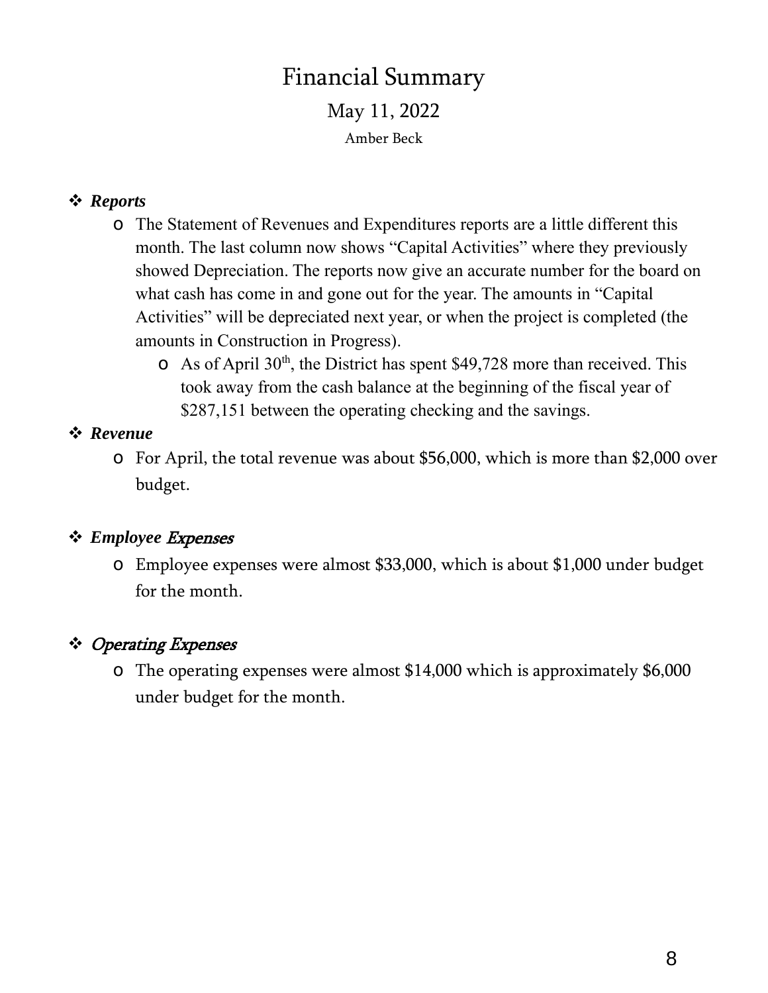## Financial Summary May 11, 2022 Amber Beck

## ❖ *Reports*

- o The Statement of Revenues and Expenditures reports are a little different this month. The last column now shows "Capital Activities" where they previously showed Depreciation. The reports now give an accurate number for the board on what cash has come in and gone out for the year. The amounts in "Capital Activities" will be depreciated next year, or when the project is completed (the amounts in Construction in Progress).
	- $\circ$  As of April 30<sup>th</sup>, the District has spent \$49,728 more than received. This took away from the cash balance at the beginning of the fiscal year of \$287,151 between the operating checking and the savings.

### ❖ *Revenue*

o For April, the total revenue was about \$56,000, which is more than \$2,000 over budget.

## ❖ *Employee* Expenses

o Employee expenses were almost \$33,000, which is about \$1,000 under budget for the month.

## ❖ Operating Expenses

o The operating expenses were almost \$14,000 which is approximately \$6,000 under budget for the month.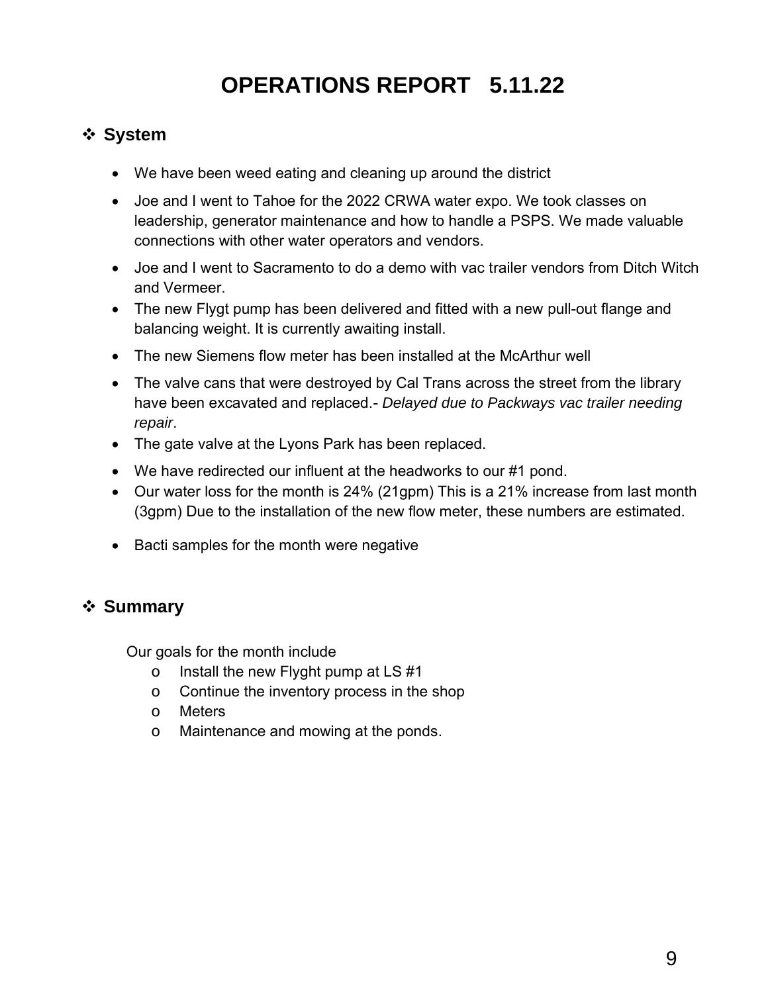# **OPERATIONS REPORT 5.11.22**

## ❖ **System**

- We have been weed eating and cleaning up around the district
- Joe and I went to Tahoe for the 2022 CRWA water expo. We took classes on leadership, generator maintenance and how to handle a PSPS. We made valuable connections with other water operators and vendors.
- Joe and I went to Sacramento to do a demo with vac trailer vendors from Ditch Witch and Vermeer.
- The new Flygt pump has been delivered and fitted with a new pull-out flange and balancing weight. It is currently awaiting install.
- The new Siemens flow meter has been installed at the McArthur well
- The valve cans that were destroyed by Cal Trans across the street from the library have been excavated and replaced.- *Delayed due to Packways vac trailer needing repair*.
- The gate valve at the Lyons Park has been replaced.
- We have redirected our influent at the headworks to our #1 pond.
- Our water loss for the month is 24% (21gpm) This is a 21% increase from last month (3gpm) Due to the installation of the new flow meter, these numbers are estimated.
- Bacti samples for the month were negative

## ❖ **Summary**

Our goals for the month include

- o Install the new Flyght pump at LS #1
- o Continue the inventory process in the shop
- o Meters
- o Maintenance and mowing at the ponds.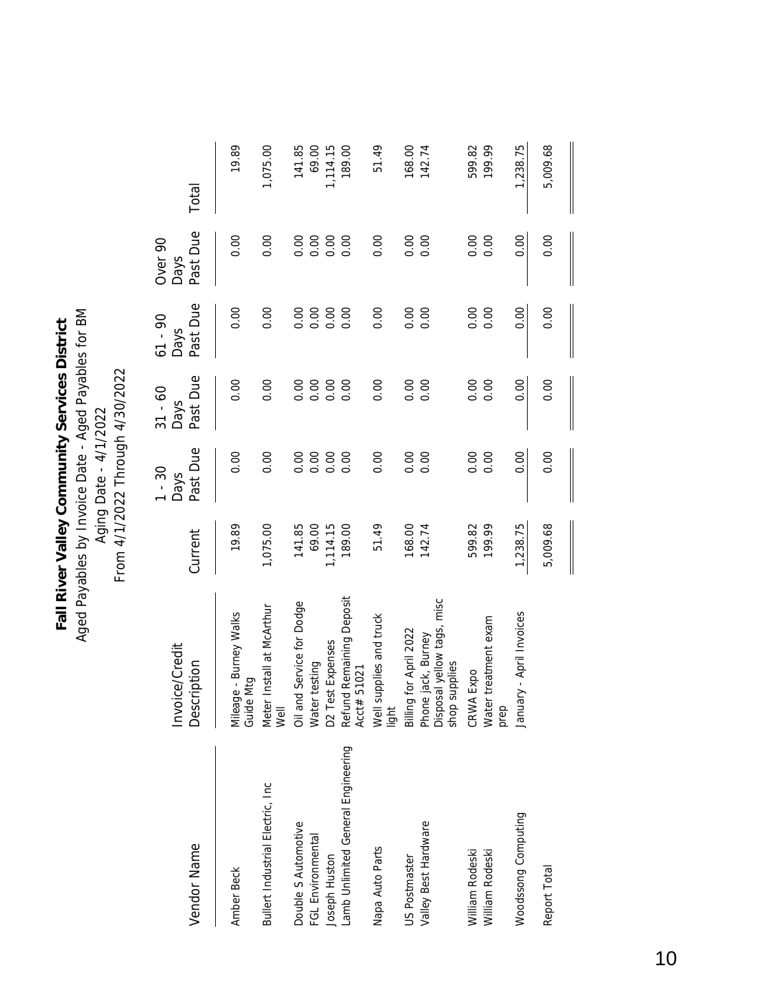Aged Payables by Invoice Date - Aged Payables for BM Aged Payables by Invoice Date - Aged Payables for BM Fall River Valley Community Services District **Fall River Valley Community Services District** Aging Date - 4/1/2022<br>From 4/1/2022 Through 4/30/2022 Aging Date - 4/1/2022

From 4/1/2022 Through 4/30/2022

| Vendor Name                       | Invoice/Credit<br>Description                                     | Current  | Past Due<br>$1 - 30$<br><b>Days</b> | Past Due<br>$31 - 60$<br><b>Days</b> | Past Due<br>$61 - 90$<br>Days | Past Due<br>Over <sub>90</sub><br><b>Days</b> | Total    |
|-----------------------------------|-------------------------------------------------------------------|----------|-------------------------------------|--------------------------------------|-------------------------------|-----------------------------------------------|----------|
| Amber Beck                        | Mileage - Burney Walks<br>Guide Mtg                               | 19.89    | 0.00                                | 0.00                                 | 0.00                          | 0.00                                          | 19.89    |
| Bullert Industrial Electric, Inc. | Meter Install at McArthur<br>Well                                 | 1,075.00 | 0.00                                | 0.00                                 | 0.00                          | 0.00                                          | 1,075.00 |
| Double S Automotive               | Oil and Service for Dodge                                         | 141.85   | 0.00                                | 0.00                                 | 0.00                          | 0.00                                          | 141.85   |
| FGL Environmental                 | Water testing                                                     | 69.00    | 0.00                                | 0.00                                 | 0.00                          | 0.00                                          | 69.00    |
| Joseph Huston                     | D2 Test Expenses                                                  | 1,114.15 | 0.00                                | 0.00                                 | 0.00                          | 0.00                                          | 1,114.15 |
| amb Unlimited General Engineering | Refund Remaining Deposit<br>Acct# 51021                           | 189.00   | 0.00                                | 0.00                                 | 0.00                          | 0.00                                          | 189.00   |
| Napa Auto Parts                   | Well supplies and truck<br>light                                  | 51.49    | 0.00                                | 0.00                                 | 0.00                          | 0.00                                          | 51.49    |
| JS Postmaster                     | Billing for April 2022                                            | 168.00   | 0.00                                | 0.00                                 | 0.00                          | 0.00                                          | 168.00   |
| Valley Best Hardware              | Phone jack, Burney<br>Disposal yellow tags, misc<br>shop supplies | 142.74   | 0.00                                | 0.00                                 | 0.00                          | 0.00                                          | 142.74   |
| William Rodeski                   | CRWA Expo                                                         | 599.82   | 0.00                                | 0.00                                 | 0.00                          | 0.00                                          | 599.82   |
| William Rodeski                   | Water treatment exam<br>prep                                      | 199.99   | 0.00                                | 0.00                                 | 0.00                          | 0.00                                          | 199.99   |
| Woodssong Computing               | ary - April Invoices<br>ungl                                      | 1,238.75 | 0.00                                | 0.00                                 | 0.00                          | 0.00                                          | 1,238.75 |
| Report Total                      |                                                                   | 5,009.68 | 0.00                                | 0.00                                 | 0.00                          | 0.00                                          | 5,009.68 |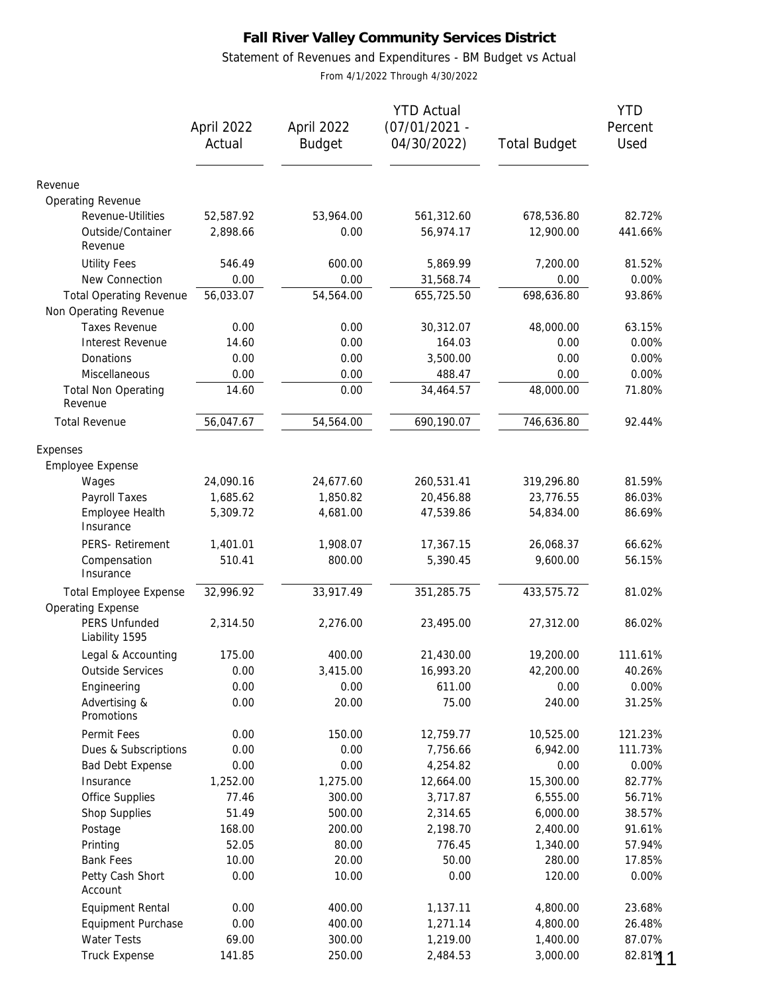### Statement of Revenues and Expenditures - BM Budget vs Actual

From 4/1/2022 Through 4/30/2022

|                                                           | April 2022<br>Actual | April 2022<br><b>Budget</b> | <b>YTD Actual</b><br>$(07/01/2021 -$<br>04/30/2022) | <b>Total Budget</b> | <b>YTD</b><br>Percent<br>Used |
|-----------------------------------------------------------|----------------------|-----------------------------|-----------------------------------------------------|---------------------|-------------------------------|
| Revenue                                                   |                      |                             |                                                     |                     |                               |
| Operating Revenue                                         |                      |                             |                                                     |                     |                               |
| Revenue-Utilities                                         | 52,587.92            | 53,964.00                   | 561,312.60                                          | 678,536.80          | 82.72%                        |
| Outside/Container<br>Revenue                              | 2,898.66             | 0.00                        | 56,974.17                                           | 12,900.00           | 441.66%                       |
| <b>Utility Fees</b>                                       | 546.49               | 600.00                      | 5,869.99                                            | 7,200.00            | 81.52%                        |
| New Connection                                            | 0.00                 | 0.00                        | 31,568.74                                           | 0.00                | 0.00%                         |
| <b>Total Operating Revenue</b><br>Non Operating Revenue   | 56,033.07            | 54,564.00                   | 655,725.50                                          | 698,636.80          | 93.86%                        |
| <b>Taxes Revenue</b>                                      | 0.00                 | 0.00                        | 30,312.07                                           | 48,000.00           | 63.15%                        |
| Interest Revenue                                          | 14.60                | 0.00                        | 164.03                                              | 0.00                | 0.00%                         |
| Donations                                                 | 0.00                 | 0.00                        | 3,500.00                                            | 0.00                | 0.00%                         |
| Miscellaneous                                             | 0.00                 | 0.00                        | 488.47                                              | 0.00                | 0.00%                         |
| <b>Total Non Operating</b><br>Revenue                     | 14.60                | 0.00                        | 34,464.57                                           | 48,000.00           | 71.80%                        |
| <b>Total Revenue</b>                                      | 56,047.67            | 54,564.00                   | 690,190.07                                          | 746,636.80          | 92.44%                        |
| Expenses                                                  |                      |                             |                                                     |                     |                               |
| Employee Expense                                          |                      |                             |                                                     |                     |                               |
| Wages                                                     | 24,090.16            | 24,677.60                   | 260,531.41                                          | 319,296.80          | 81.59%                        |
| Payroll Taxes                                             | 1,685.62             | 1,850.82                    | 20,456.88                                           | 23,776.55           | 86.03%                        |
| Employee Health<br>Insurance                              | 5,309.72             | 4,681.00                    | 47,539.86                                           | 54,834.00           | 86.69%                        |
| PERS- Retirement                                          | 1,401.01             | 1,908.07                    | 17,367.15                                           | 26,068.37           | 66.62%                        |
| Compensation<br>Insurance                                 | 510.41               | 800.00                      | 5,390.45                                            | 9,600.00            | 56.15%                        |
| <b>Total Employee Expense</b><br><b>Operating Expense</b> | 32,996.92            | 33,917.49                   | 351,285.75                                          | 433,575.72          | 81.02%                        |
| PERS Unfunded<br>Liability 1595                           | 2,314.50             | 2,276.00                    | 23,495.00                                           | 27,312.00           | 86.02%                        |
| Legal & Accounting                                        | 175.00               | 400.00                      | 21,430.00                                           | 19,200.00           | 111.61%                       |
| <b>Outside Services</b>                                   | 0.00                 | 3,415.00                    | 16,993.20                                           | 42,200.00           | 40.26%                        |
| Engineering                                               | 0.00                 | 0.00                        | 611.00                                              | 0.00                | 0.00%                         |
| Advertising &<br>Promotions                               | 0.00                 | 20.00                       | 75.00                                               | 240.00              | 31.25%                        |
| Permit Fees                                               | 0.00                 | 150.00                      | 12,759.77                                           | 10,525.00           | 121.23%                       |
| Dues & Subscriptions                                      | 0.00                 | 0.00                        | 7,756.66                                            | 6,942.00            | 111.73%                       |
| <b>Bad Debt Expense</b>                                   | 0.00                 | 0.00                        | 4,254.82                                            | 0.00                | 0.00%                         |
| Insurance                                                 | 1,252.00             | 1,275.00                    | 12,664.00                                           | 15,300.00           | 82.77%                        |
| Office Supplies                                           | 77.46                | 300.00                      | 3,717.87                                            | 6,555.00            | 56.71%                        |
| Shop Supplies                                             | 51.49                | 500.00                      | 2,314.65                                            | 6,000.00            | 38.57%                        |
| Postage                                                   | 168.00               | 200.00                      | 2,198.70                                            | 2,400.00            | 91.61%                        |
| Printing                                                  | 52.05                | 80.00                       | 776.45                                              | 1,340.00            | 57.94%                        |
| <b>Bank Fees</b>                                          | 10.00                | 20.00                       | 50.00                                               | 280.00              | 17.85%                        |
| Petty Cash Short<br>Account                               | 0.00                 | 10.00                       | 0.00                                                | 120.00              | 0.00%                         |
| Equipment Rental                                          | 0.00                 | 400.00                      | 1,137.11                                            | 4,800.00            | 23.68%                        |
| Equipment Purchase                                        | 0.00                 | 400.00                      | 1,271.14                                            | 4,800.00            | 26.48%                        |
| Water Tests                                               | 69.00                | 300.00                      | 1,219.00                                            | 1,400.00            | 87.07%                        |
| <b>Truck Expense</b>                                      | 141.85               | 250.00                      | 2,484.53                                            | 3,000.00            | 82.81% 1                      |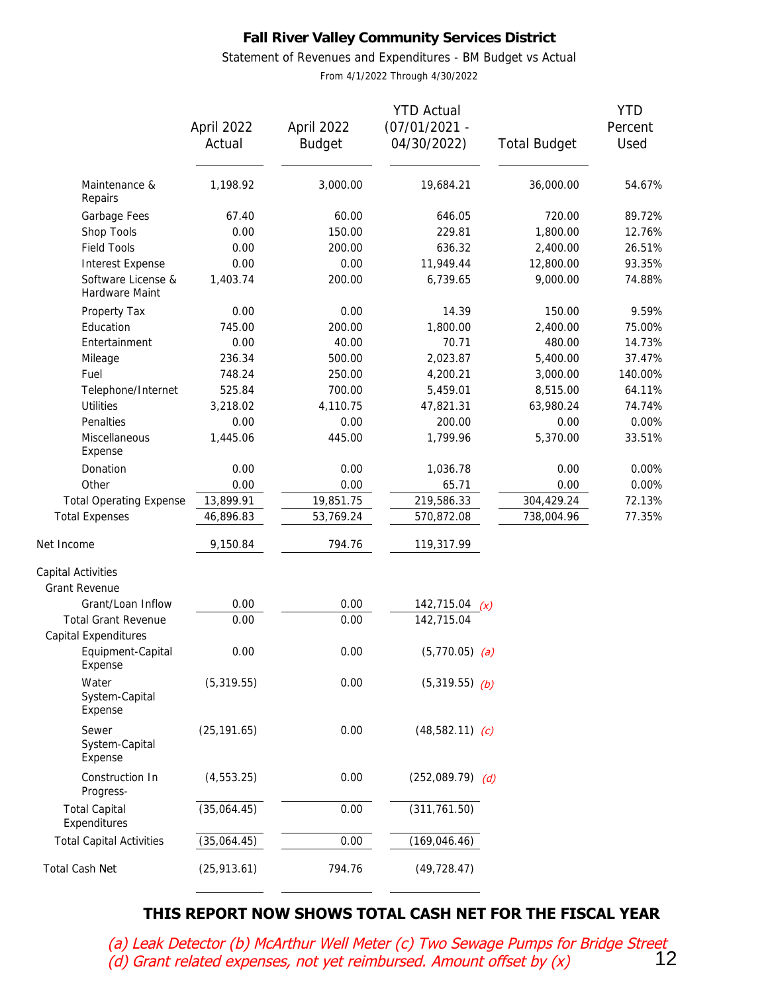Statement of Revenues and Expenditures - BM Budget vs Actual

From 4/1/2022 Through 4/30/2022

|                                                    |              |               | <b>YTD Actual</b>  |                     | <b>YTD</b> |
|----------------------------------------------------|--------------|---------------|--------------------|---------------------|------------|
|                                                    | April 2022   | April 2022    | $(07/01/2021 -$    |                     | Percent    |
|                                                    | Actual       | <b>Budget</b> | 04/30/2022)        | <b>Total Budget</b> | Used       |
| Maintenance &<br>Repairs                           | 1,198.92     | 3,000.00      | 19,684.21          | 36,000.00           | 54.67%     |
| Garbage Fees                                       | 67.40        | 60.00         | 646.05             | 720.00              | 89.72%     |
| Shop Tools                                         | 0.00         | 150.00        | 229.81             | 1,800.00            | 12.76%     |
| <b>Field Tools</b>                                 | 0.00         | 200.00        | 636.32             | 2,400.00            | 26.51%     |
| Interest Expense                                   | 0.00         | 0.00          | 11,949.44          | 12,800.00           | 93.35%     |
| Software License &<br>Hardware Maint               | 1,403.74     | 200.00        | 6,739.65           | 9,000.00            | 74.88%     |
| Property Tax                                       | 0.00         | 0.00          | 14.39              | 150.00              | 9.59%      |
| Education                                          | 745.00       | 200.00        | 1,800.00           | 2,400.00            | 75.00%     |
| Entertainment                                      | 0.00         | 40.00         | 70.71              | 480.00              | 14.73%     |
| Mileage                                            | 236.34       | 500.00        | 2,023.87           | 5,400.00            | 37.47%     |
| Fuel                                               | 748.24       | 250.00        | 4,200.21           | 3,000.00            | 140.00%    |
| Telephone/Internet                                 | 525.84       | 700.00        | 5,459.01           | 8,515.00            | 64.11%     |
| <b>Utilities</b>                                   | 3,218.02     | 4,110.75      | 47,821.31          | 63,980.24           | 74.74%     |
| Penalties                                          | 0.00         | 0.00          | 200.00             | 0.00                | 0.00%      |
| Miscellaneous<br>Expense                           | 1,445.06     | 445.00        | 1,799.96           | 5,370.00            | 33.51%     |
| Donation                                           | 0.00         | 0.00          | 1,036.78           | 0.00                | 0.00%      |
| Other                                              | 0.00         | 0.00          | 65.71              | 0.00                | 0.00%      |
| <b>Total Operating Expense</b>                     | 13,899.91    | 19,851.75     | 219,586.33         | 304,429.24          | 72.13%     |
| <b>Total Expenses</b>                              | 46,896.83    | 53,769.24     | 570,872.08         | 738,004.96          | 77.35%     |
| Net Income                                         | 9,150.84     | 794.76        | 119,317.99         |                     |            |
| Capital Activities                                 |              |               |                    |                     |            |
| <b>Grant Revenue</b>                               |              |               |                    |                     |            |
| Grant/Loan Inflow                                  | 0.00         | 0.00          | 142,715.04 $(x)$   |                     |            |
| <b>Total Grant Revenue</b><br>Capital Expenditures | 0.00         | 0.00          | 142,715.04         |                     |            |
| Equipment-Capital<br>Expense                       | 0.00         | 0.00          | $(5,770.05)$ (a)   |                     |            |
| Water<br>System-Capital<br>Expense                 | (5,319.55)   | 0.00          | $(5,319.55)$ (b)   |                     |            |
| Sewer<br>System-Capital<br>Expense                 | (25, 191.65) | 0.00          | $(48,582.11)$ (c)  |                     |            |
| Construction In<br>Progress-                       | (4, 553.25)  | 0.00          | $(252,089.79)$ (d) |                     |            |
| <b>Total Capital</b><br>Expenditures               | (35,064.45)  | 0.00          | (311, 761.50)      |                     |            |
| <b>Total Capital Activities</b>                    | (35,064.45)  | 0.00          | (169, 046.46)      |                     |            |
| Total Cash Net                                     | (25, 913.61) | 794.76        | (49, 728.47)       |                     |            |

## **THIS REPORT NOW SHOWS TOTAL CASH NET FOR THE FISCAL YEAR**

(a) Leak Detector (b) McArthur Well Meter (c) Two Sewage Pumps for Bridge Street  $(d)$  Grant related expenses, not yet reimbursed. Amount offset by  $(x)$  12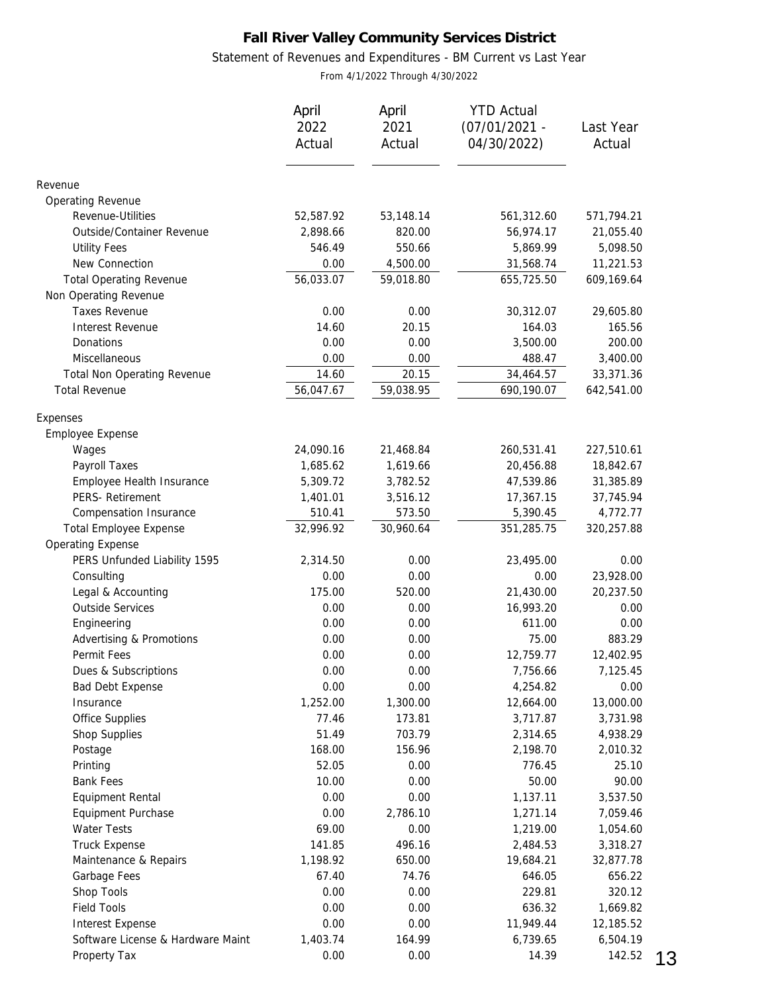### Statement of Revenues and Expenditures - BM Current vs Last Year

From 4/1/2022 Through 4/30/2022

|                                   | April<br>2022<br>Actual | April<br>2021<br>Actual | <b>YTD Actual</b><br>$(07/01/2021 -$<br>04/30/2022) | Last Year<br>Actual |
|-----------------------------------|-------------------------|-------------------------|-----------------------------------------------------|---------------------|
|                                   |                         |                         |                                                     |                     |
| Revenue                           |                         |                         |                                                     |                     |
| Operating Revenue                 |                         |                         |                                                     |                     |
| Revenue-Utilities                 | 52,587.92               | 53,148.14               | 561,312.60                                          | 571,794.21          |
| Outside/Container Revenue         | 2,898.66                | 820.00                  | 56,974.17                                           | 21,055.40           |
| <b>Utility Fees</b>               | 546.49                  | 550.66                  | 5,869.99                                            | 5,098.50            |
| New Connection                    | 0.00                    | 4,500.00                | 31,568.74                                           | 11,221.53           |
| <b>Total Operating Revenue</b>    | 56,033.07               | 59,018.80               | 655,725.50                                          | 609,169.64          |
| Non Operating Revenue             |                         |                         |                                                     |                     |
| <b>Taxes Revenue</b>              | 0.00                    | 0.00                    | 30,312.07                                           | 29,605.80           |
| Interest Revenue                  | 14.60                   | 20.15                   | 164.03                                              | 165.56              |
| Donations                         | 0.00                    | 0.00                    | 3,500.00                                            | 200.00              |
| Miscellaneous                     | 0.00                    | 0.00                    | 488.47                                              | 3,400.00            |
| Total Non Operating Revenue       | 14.60                   | 20.15                   | 34,464.57                                           | 33,371.36           |
| <b>Total Revenue</b>              | 56,047.67               | 59,038.95               | 690,190.07                                          | 642,541.00          |
| Expenses                          |                         |                         |                                                     |                     |
| Employee Expense                  |                         |                         |                                                     |                     |
| Wages                             | 24,090.16               | 21,468.84               | 260,531.41                                          | 227,510.61          |
| Payroll Taxes                     | 1,685.62                | 1,619.66                | 20,456.88                                           | 18,842.67           |
| Employee Health Insurance         | 5,309.72                | 3,782.52                | 47,539.86                                           | 31,385.89           |
| PERS- Retirement                  | 1,401.01                | 3,516.12                | 17,367.15                                           | 37,745.94           |
| Compensation Insurance            | 510.41                  | 573.50                  | 5,390.45                                            | 4,772.77            |
| <b>Total Employee Expense</b>     | 32,996.92               | 30,960.64               | 351,285.75                                          | 320,257.88          |
| <b>Operating Expense</b>          |                         |                         |                                                     |                     |
| PERS Unfunded Liability 1595      | 2,314.50                | 0.00                    | 23,495.00                                           | 0.00                |
| Consulting                        | 0.00                    | 0.00                    | 0.00                                                | 23,928.00           |
| Legal & Accounting                | 175.00                  | 520.00                  | 21,430.00                                           | 20,237.50           |
| <b>Outside Services</b>           | 0.00                    | 0.00                    | 16,993.20                                           | 0.00                |
| Engineering                       | 0.00                    | 0.00                    | 611.00                                              | 0.00                |
| Advertising & Promotions          | 0.00                    | 0.00                    | 75.00                                               | 883.29              |
| Permit Fees                       | 0.00                    | 0.00                    | 12,759.77                                           | 12,402.95           |
| Dues & Subscriptions              | 0.00                    | 0.00                    | 7,756.66                                            | 7,125.45            |
| Bad Debt Expense                  | 0.00                    | 0.00                    | 4,254.82                                            | 0.00                |
| Insurance                         | 1,252.00                | 1,300.00                | 12,664.00                                           | 13,000.00           |
| <b>Office Supplies</b>            | 77.46                   | 173.81                  | 3,717.87                                            | 3,731.98            |
| Shop Supplies                     | 51.49                   | 703.79                  | 2,314.65                                            | 4,938.29            |
| Postage                           | 168.00                  | 156.96                  | 2,198.70                                            | 2,010.32            |
| Printing                          | 52.05                   | 0.00                    | 776.45                                              | 25.10               |
| <b>Bank Fees</b>                  | 10.00                   | 0.00                    | 50.00                                               | 90.00               |
| Equipment Rental                  | 0.00                    | 0.00                    | 1,137.11                                            | 3,537.50            |
| Equipment Purchase                | 0.00                    | 2,786.10                | 1,271.14                                            | 7,059.46            |
| Water Tests                       | 69.00                   | 0.00                    | 1,219.00                                            | 1,054.60            |
| <b>Truck Expense</b>              | 141.85                  | 496.16                  | 2,484.53                                            | 3,318.27            |
| Maintenance & Repairs             | 1,198.92                | 650.00                  | 19,684.21                                           | 32,877.78           |
| Garbage Fees                      | 67.40                   | 74.76                   | 646.05                                              | 656.22              |
| Shop Tools                        | 0.00                    | 0.00                    | 229.81                                              | 320.12              |
| <b>Field Tools</b>                | 0.00                    | 0.00                    | 636.32                                              | 1,669.82            |
| Interest Expense                  | 0.00                    | 0.00                    | 11,949.44                                           | 12,185.52           |
| Software License & Hardware Maint | 1,403.74                | 164.99                  | 6,739.65                                            | 6,504.19            |
| Property Tax                      | 0.00                    | 0.00                    | 14.39                                               | 142.52              |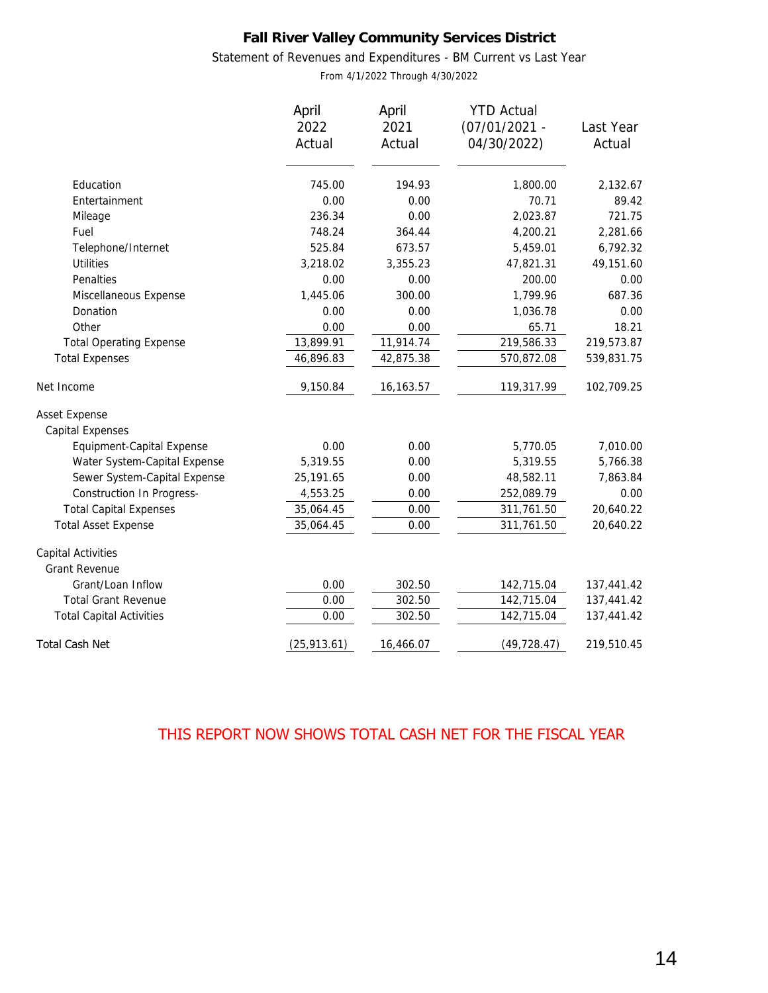### Statement of Revenues and Expenditures - BM Current vs Last Year

From 4/1/2022 Through 4/30/2022

| April<br>2022<br>Actual | April<br>2021<br>Actual                                                                                   | <b>YTD Actual</b><br>$(07/01/2021 -$<br>04/30/2022)                                                   | Last Year<br>Actual                                                                                                         |
|-------------------------|-----------------------------------------------------------------------------------------------------------|-------------------------------------------------------------------------------------------------------|-----------------------------------------------------------------------------------------------------------------------------|
|                         |                                                                                                           |                                                                                                       | 2,132.67                                                                                                                    |
|                         |                                                                                                           |                                                                                                       | 89.42                                                                                                                       |
|                         |                                                                                                           |                                                                                                       | 721.75                                                                                                                      |
|                         |                                                                                                           |                                                                                                       | 2,281.66                                                                                                                    |
|                         |                                                                                                           |                                                                                                       | 6,792.32                                                                                                                    |
|                         |                                                                                                           |                                                                                                       | 49,151.60                                                                                                                   |
|                         |                                                                                                           |                                                                                                       | 0.00                                                                                                                        |
|                         |                                                                                                           |                                                                                                       | 687.36                                                                                                                      |
|                         |                                                                                                           |                                                                                                       | 0.00                                                                                                                        |
|                         |                                                                                                           |                                                                                                       | 18.21                                                                                                                       |
|                         |                                                                                                           |                                                                                                       | 219,573.87                                                                                                                  |
| 46,896.83               | 42,875.38                                                                                                 | 570,872.08                                                                                            | 539,831.75                                                                                                                  |
| 9,150.84                | 16,163.57                                                                                                 | 119,317.99                                                                                            | 102,709.25                                                                                                                  |
|                         |                                                                                                           |                                                                                                       |                                                                                                                             |
|                         |                                                                                                           |                                                                                                       |                                                                                                                             |
| 0.00                    | 0.00                                                                                                      | 5,770.05                                                                                              | 7,010.00                                                                                                                    |
| 5,319.55                | 0.00                                                                                                      | 5,319.55                                                                                              | 5,766.38                                                                                                                    |
| 25,191.65               | 0.00                                                                                                      | 48,582.11                                                                                             | 7,863.84                                                                                                                    |
| 4,553.25                | 0.00                                                                                                      | 252,089.79                                                                                            | 0.00                                                                                                                        |
| 35,064.45               | 0.00                                                                                                      | 311,761.50                                                                                            | 20,640.22                                                                                                                   |
| 35,064.45               | 0.00                                                                                                      | 311,761.50                                                                                            | 20,640.22                                                                                                                   |
|                         |                                                                                                           |                                                                                                       |                                                                                                                             |
|                         |                                                                                                           |                                                                                                       |                                                                                                                             |
| 0.00                    | 302.50                                                                                                    | 142,715.04                                                                                            | 137,441.42                                                                                                                  |
| 0.00                    | 302.50                                                                                                    | 142,715.04                                                                                            | 137,441.42                                                                                                                  |
| 0.00                    | 302.50                                                                                                    | 142,715.04                                                                                            | 137,441.42                                                                                                                  |
| (25, 913.61)            | 16,466.07                                                                                                 | (49, 728.47)                                                                                          | 219,510.45                                                                                                                  |
|                         | 745.00<br>0.00<br>236.34<br>748.24<br>525.84<br>3,218.02<br>0.00<br>1,445.06<br>0.00<br>0.00<br>13,899.91 | 194.93<br>0.00<br>0.00<br>364.44<br>673.57<br>3,355.23<br>0.00<br>300.00<br>0.00<br>0.00<br>11,914.74 | 1,800.00<br>70.71<br>2,023.87<br>4,200.21<br>5,459.01<br>47,821.31<br>200.00<br>1,799.96<br>1,036.78<br>65.71<br>219,586.33 |

## THIS REPORT NOW SHOWS TOTAL CASH NET FOR THE FISCAL YEAR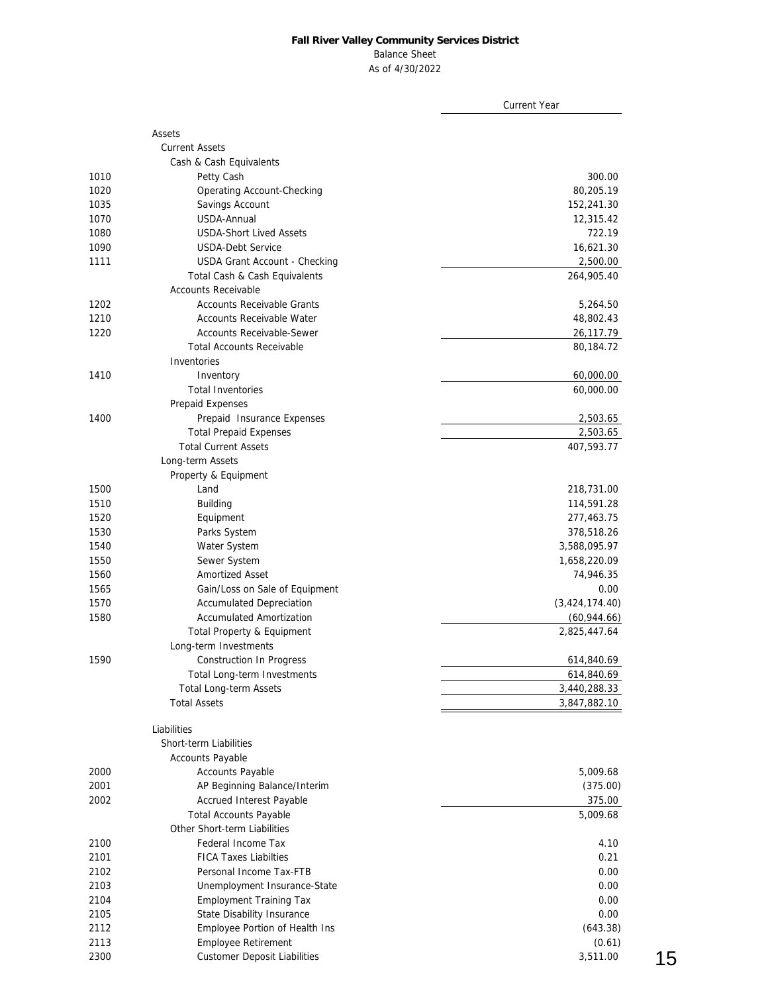#### Balance Sheet

As of 4/30/2022

|              |                                                              | <b>Current Year</b> |
|--------------|--------------------------------------------------------------|---------------------|
|              |                                                              |                     |
|              | Assets                                                       |                     |
|              | <b>Current Assets</b>                                        |                     |
|              | Cash & Cash Equivalents                                      |                     |
| 1010         | Petty Cash                                                   | 300.00              |
| 1020         | Operating Account-Checking                                   | 80,205.19           |
| 1035         | Savings Account                                              | 152,241.30          |
| 1070         | USDA-Annual                                                  | 12,315.42           |
| 1080         | <b>USDA-Short Lived Assets</b>                               | 722.19              |
| 1090         | <b>USDA-Debt Service</b>                                     | 16,621.30           |
| 1111         | USDA Grant Account - Checking                                | 2,500.00            |
|              | Total Cash & Cash Equivalents                                | 264,905.40          |
|              | <b>Accounts Receivable</b>                                   |                     |
| 1202         | Accounts Receivable Grants                                   | 5,264.50            |
| 1210         | Accounts Receivable Water                                    | 48,802.43           |
| 1220         | <b>Accounts Receivable-Sewer</b>                             | 26,117.79           |
|              | <b>Total Accounts Receivable</b>                             | 80,184.72           |
|              | Inventories                                                  |                     |
| 1410         | Inventory                                                    | 60,000.00           |
|              | <b>Total Inventories</b>                                     | 60,000.00           |
|              | Prepaid Expenses                                             |                     |
| 1400         | Prepaid Insurance Expenses                                   | 2,503.65            |
|              | <b>Total Prepaid Expenses</b>                                | 2,503.65            |
|              | <b>Total Current Assets</b>                                  | 407,593.77          |
|              | Long-term Assets                                             |                     |
|              | Property & Equipment                                         |                     |
| 1500         | Land                                                         | 218,731.00          |
| 1510         | <b>Building</b>                                              | 114,591.28          |
| 1520         | Equipment                                                    | 277,463.75          |
| 1530         | Parks System                                                 | 378,518.26          |
| 1540         | Water System                                                 | 3,588,095.97        |
| 1550         | Sewer System                                                 | 1,658,220.09        |
| 1560         | Amortized Asset                                              | 74,946.35           |
| 1565         | Gain/Loss on Sale of Equipment                               | 0.00                |
| 1570         | <b>Accumulated Depreciation</b>                              | (3,424,174.40)      |
| 1580         | <b>Accumulated Amortization</b>                              | (60, 944.66)        |
|              | Total Property & Equipment                                   | 2,825,447.64        |
|              | Long-term Investments                                        |                     |
| 1590         | Construction In Progress                                     | 614,840.69          |
|              | Total Long-term Investments                                  | 614,840.69          |
|              | Total Long-term Assets                                       | 3,440,288.33        |
|              | <b>Total Assets</b>                                          | 3,847,882.10        |
|              | Liabilities                                                  |                     |
|              | Short-term Liabilities                                       |                     |
|              | <b>Accounts Payable</b>                                      |                     |
| 2000         | <b>Accounts Payable</b>                                      | 5,009.68            |
| 2001         | AP Beginning Balance/Interim                                 | (375.00)            |
| 2002         | Accrued Interest Payable                                     | 375.00              |
|              | <b>Total Accounts Payable</b>                                | 5,009.68            |
|              | Other Short-term Liabilities                                 |                     |
| 2100         | Federal Income Tax                                           | 4.10                |
| 2101         | <b>FICA Taxes Liabilties</b>                                 | 0.21                |
| 2102         | Personal Income Tax-FTB                                      | 0.00                |
| 2103         | Unemployment Insurance-State                                 | 0.00                |
| 2104         | <b>Employment Training Tax</b>                               | 0.00                |
|              |                                                              | 0.00                |
| 2105<br>2112 | State Disability Insurance<br>Employee Portion of Health Ins | (643.38)            |
| 2113         | Employee Retirement                                          |                     |
|              |                                                              | (0.61)<br>3,511.00  |
| 2300         | <b>Customer Deposit Liabilities</b>                          |                     |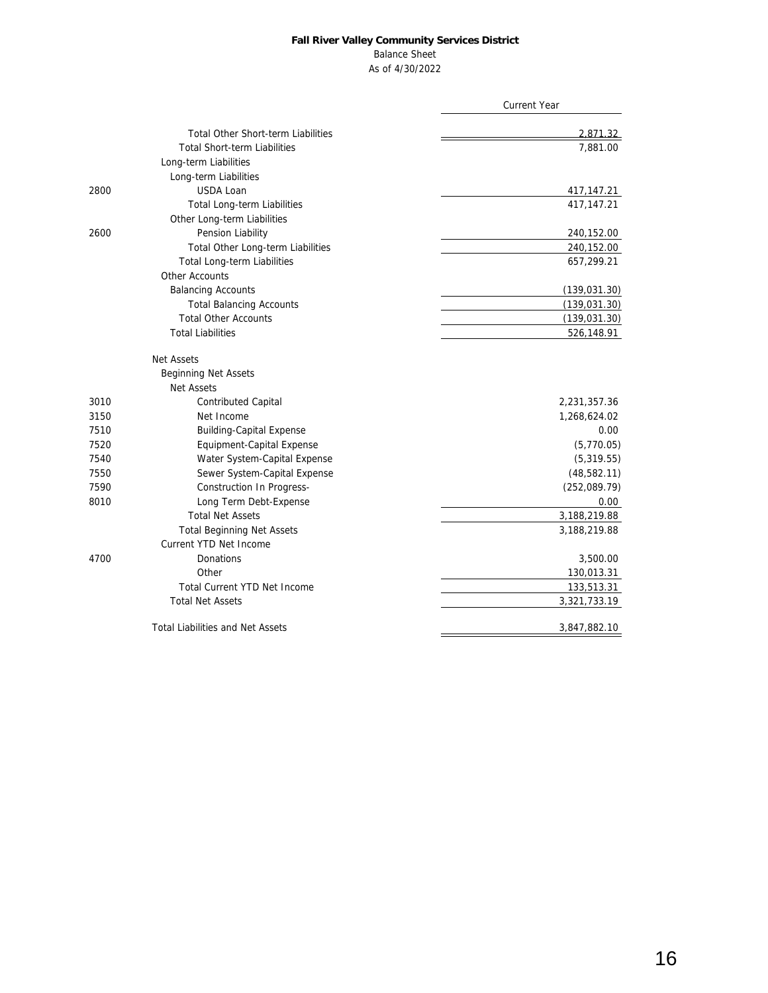### Balance Sheet

As of 4/30/2022

|                                           | <b>Current Year</b> |
|-------------------------------------------|---------------------|
| <b>Total Other Short-term Liabilities</b> | 2,871.32            |
| <b>Total Short-term Liabilities</b>       | 7,881.00            |
| Long-term Liabilities                     |                     |
| Long-term Liabilities                     |                     |
| USDA Loan<br>2800                         | 417,147.21          |
| Total Long-term Liabilities               | 417, 147. 21        |
| Other Long-term Liabilities               |                     |
| 2600<br>Pension Liability                 | 240,152.00          |
| Total Other Long-term Liabilities         | 240,152.00          |
| Total Long-term Liabilities               | 657,299.21          |
| Other Accounts                            |                     |
| <b>Balancing Accounts</b>                 | (139, 031.30)       |
| <b>Total Balancing Accounts</b>           | (139, 031.30)       |
| <b>Total Other Accounts</b>               | (139, 031.30)       |
| <b>Total Liabilities</b>                  | 526,148.91          |
| Net Assets                                |                     |
| Beginning Net Assets                      |                     |
| Net Assets                                |                     |
| 3010<br><b>Contributed Capital</b>        | 2,231,357.36        |
| Net Income<br>3150                        | 1,268,624.02        |
| <b>Building-Capital Expense</b><br>7510   | 0.00                |
| 7520<br>Equipment-Capital Expense         | (5,770.05)          |
| Water System-Capital Expense<br>7540      | (5,319.55)          |
| Sewer System-Capital Expense<br>7550      | (48, 582.11)        |
| 7590<br>Construction In Progress-         | (252,089.79)        |
| Long Term Debt-Expense<br>8010            | 0.00                |
| <b>Total Net Assets</b>                   | 3,188,219.88        |
| <b>Total Beginning Net Assets</b>         | 3,188,219.88        |
| Current YTD Net Income                    |                     |
| 4700<br>Donations                         | 3,500.00            |
| Other                                     | 130,013.31          |
| Total Current YTD Net Income              | 133,513.31          |
| <b>Total Net Assets</b>                   | 3,321,733.19        |
| <b>Total Liabilities and Net Assets</b>   | 3,847,882.10        |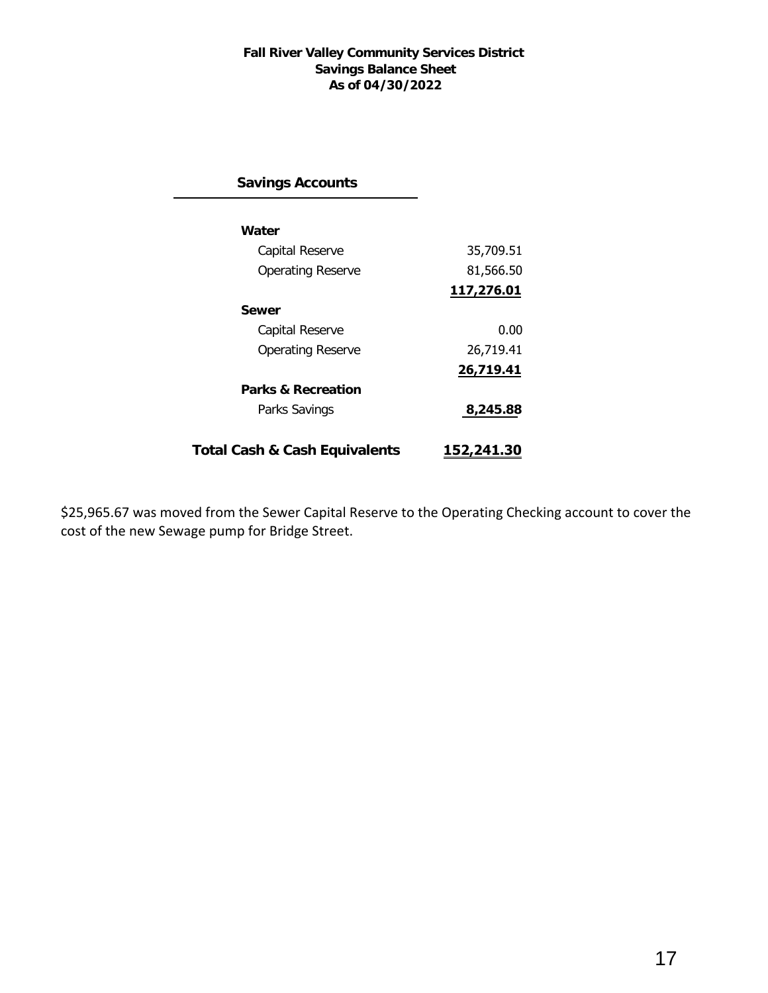### **Fall River Valley Community Services District Savings Balance Sheet As of 04/30/2022**

**Savings Accounts**

| Water                         |            |
|-------------------------------|------------|
| Capital Reserve               | 35,709.51  |
| Operating Reserve             | 81,566.50  |
|                               | 117,276.01 |
| Sewer                         |            |
| Capital Reserve               | 0.00       |
| <b>Operating Reserve</b>      | 26,719.41  |
|                               | 26,719.41  |
| Parks & Recreation            |            |
| Parks Savings                 | 8,245.88   |
|                               |            |
| Total Cash & Cash Equivalents | 152,241.30 |

\$25,965.67 was moved from the Sewer Capital Reserve to the Operating Checking account to cover the cost of the new Sewage pump for Bridge Street.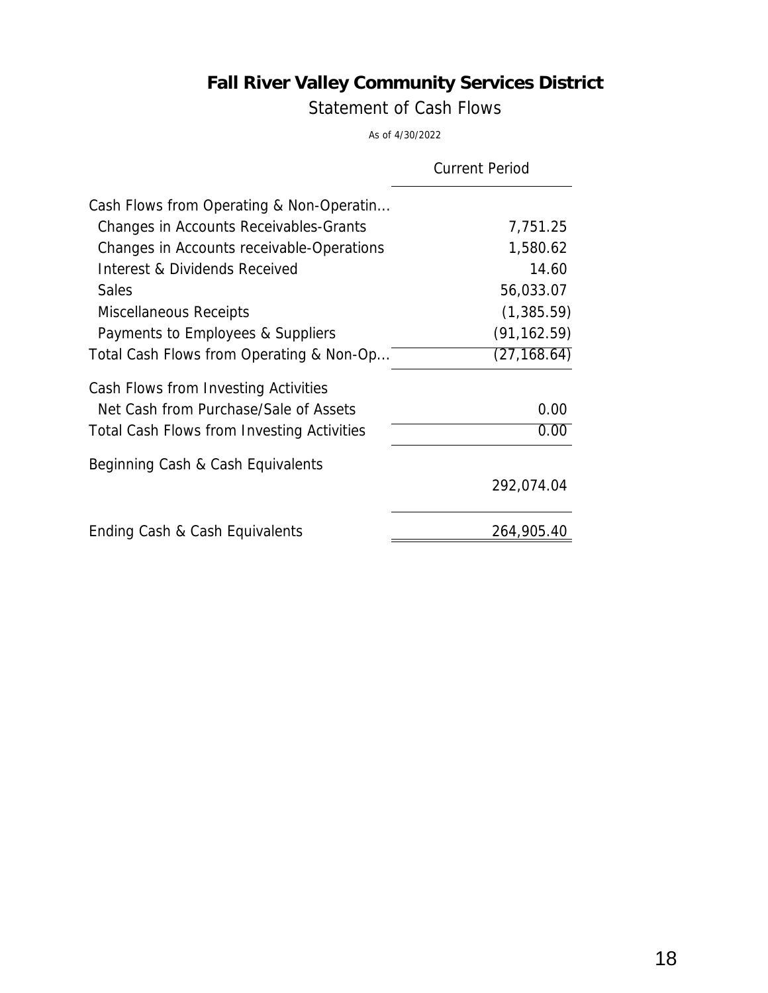Statement of Cash Flows

As of 4/30/2022

|                                            | <b>Current Period</b> |
|--------------------------------------------|-----------------------|
| Cash Flows from Operating & Non-Operatin   |                       |
| Changes in Accounts Receivables-Grants     | 7,751.25              |
| Changes in Accounts receivable-Operations  | 1,580.62              |
| Interest & Dividends Received              | 14.60                 |
| <b>Sales</b>                               | 56,033.07             |
| Miscellaneous Receipts                     | (1,385.59)            |
| Payments to Employees & Suppliers          | (91, 162.59)          |
| Total Cash Flows from Operating & Non-Op   | (27, 168.64)          |
| Cash Flows from Investing Activities       |                       |
| Net Cash from Purchase/Sale of Assets      | 0.00                  |
| Total Cash Flows from Investing Activities | 0.00                  |
| Beginning Cash & Cash Equivalents          |                       |
|                                            | 292,074.04            |
| Ending Cash & Cash Equivalents             | 264,905.40            |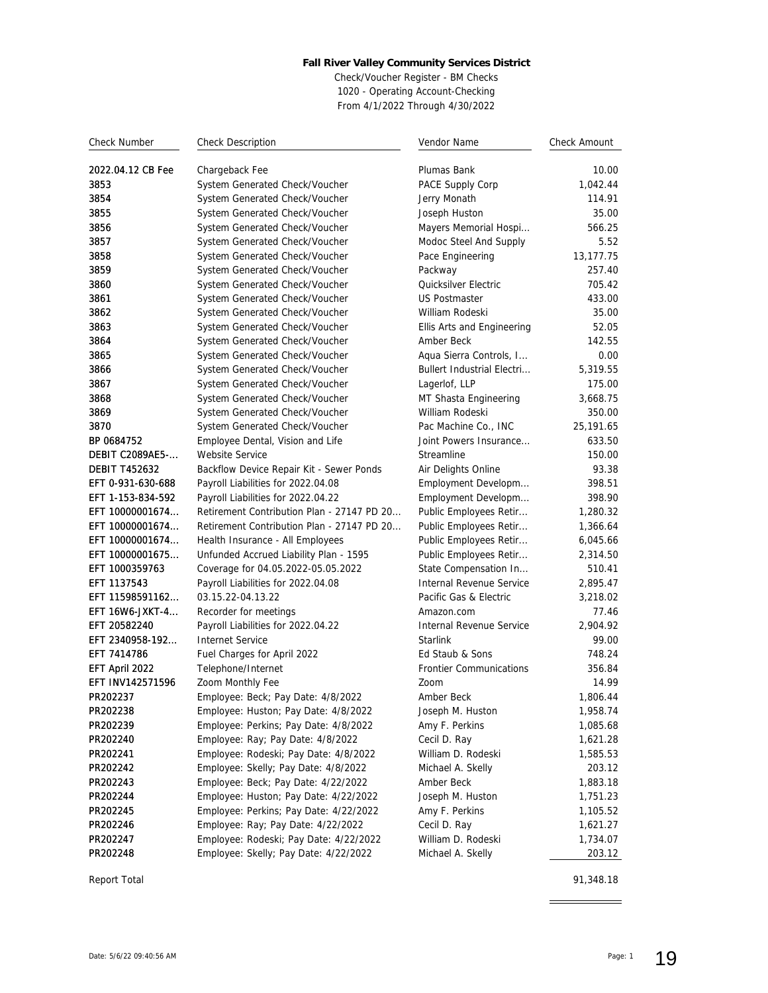Check/Voucher Register - BM Checks 1020 - Operating Account-Checking From 4/1/2022 Through 4/30/2022

| <b>Check Number</b>  | <b>Check Description</b>                   | Vendor Name                       | Check Amount |
|----------------------|--------------------------------------------|-----------------------------------|--------------|
| 2022.04.12 CB Fee    | Chargeback Fee                             | Plumas Bank                       | 10.00        |
| 3853                 | System Generated Check/Voucher             | PACE Supply Corp                  | 1,042.44     |
| 3854                 | System Generated Check/Voucher             | Jerry Monath                      | 114.91       |
| 3855                 | System Generated Check/Voucher             | Joseph Huston                     | 35.00        |
| 3856                 | System Generated Check/Voucher             | Mayers Memorial Hospi             | 566.25       |
| 3857                 | System Generated Check/Voucher             | Modoc Steel And Supply            | 5.52         |
| 3858                 | System Generated Check/Voucher             | Pace Engineering                  | 13,177.75    |
| 3859                 | System Generated Check/Voucher             | Packway                           | 257.40       |
| 3860                 | System Generated Check/Voucher             | Quicksilver Electric              | 705.42       |
| 3861                 | System Generated Check/Voucher             | <b>US Postmaster</b>              | 433.00       |
| 3862                 | System Generated Check/Voucher             | William Rodeski                   | 35.00        |
| 3863                 | System Generated Check/Voucher             | Ellis Arts and Engineering        | 52.05        |
| 3864                 | System Generated Check/Voucher             | Amber Beck                        | 142.55       |
| 3865                 | System Generated Check/Voucher             | Aqua Sierra Controls, I           | 0.00         |
| 3866                 | System Generated Check/Voucher             | <b>Bullert Industrial Electri</b> | 5,319.55     |
| 3867                 | System Generated Check/Voucher             | Lagerlof, LLP                     | 175.00       |
| 3868                 | System Generated Check/Voucher             | MT Shasta Engineering             | 3.668.75     |
| 3869                 | System Generated Check/Voucher             | William Rodeski                   | 350.00       |
| 3870                 | System Generated Check/Voucher             | Pac Machine Co., INC              | 25,191.65    |
| BP 0684752           | Employee Dental, Vision and Life           | Joint Powers Insurance            | 633.50       |
| DEBIT C2089AE5-      | Website Service                            | Streamline                        | 150.00       |
| <b>DEBIT T452632</b> | Backflow Device Repair Kit - Sewer Ponds   | Air Delights Online               | 93.38        |
| EFT 0-931-630-688    | Payroll Liabilities for 2022.04.08         | Employment Developm               | 398.51       |
| EFT 1-153-834-592    | Payroll Liabilities for 2022.04.22         | Employment Developm               | 398.90       |
| EFT 10000001674      | Retirement Contribution Plan - 27147 PD 20 | Public Employees Retir            | 1,280.32     |
| EFT 10000001674      | Retirement Contribution Plan - 27147 PD 20 | Public Employees Retir            | 1,366.64     |
| EFT 10000001674      | Health Insurance - All Employees           | Public Employees Retir            | 6,045.66     |
| EFT 10000001675      | Unfunded Accrued Liability Plan - 1595     | Public Employees Retir            | 2,314.50     |
| EFT 1000359763       | Coverage for 04.05.2022-05.05.2022         | State Compensation In             | 510.41       |
| EFT 1137543          | Payroll Liabilities for 2022.04.08         | Internal Revenue Service          | 2,895.47     |
| EFT 11598591162      | 03.15.22-04.13.22                          | Pacific Gas & Electric            | 3,218.02     |
| EFT 16W6-JXKT-4      | Recorder for meetings                      | Amazon.com                        | 77.46        |
| EFT 20582240         | Payroll Liabilities for 2022.04.22         | Internal Revenue Service          | 2,904.92     |
| EFT 2340958-192      | <b>Internet Service</b>                    | Starlink                          | 99.00        |
| EFT 7414786          | Fuel Charges for April 2022                | Ed Staub & Sons                   | 748.24       |
| EFT April 2022       | Telephone/Internet                         | <b>Frontier Communications</b>    | 356.84       |
| EFT INV142571596     | Zoom Monthly Fee                           | Zoom                              | 14.99        |
| PR202237             | Employee: Beck; Pay Date: 4/8/2022         | Amber Beck                        | 1,806.44     |
| PR202238             | Employee: Huston; Pay Date: 4/8/2022       | Joseph M. Huston                  | 1,958.74     |
| PR202239             | Employee: Perkins; Pay Date: 4/8/2022      | Amy F. Perkins                    | 1,085.68     |
| PR202240             | Employee: Ray; Pay Date: 4/8/2022          | Cecil D. Ray                      | 1,621.28     |
| PR202241             | Employee: Rodeski; Pay Date: 4/8/2022      | William D. Rodeski                | 1,585.53     |
| PR202242             | Employee: Skelly; Pay Date: 4/8/2022       | Michael A. Skelly                 | 203.12       |
| PR202243             | Employee: Beck; Pay Date: 4/22/2022        | Amber Beck                        | 1,883.18     |
| PR202244             | Employee: Huston; Pay Date: 4/22/2022      | Joseph M. Huston                  | 1,751.23     |
| PR202245             | Employee: Perkins; Pay Date: 4/22/2022     | Amy F. Perkins                    | 1,105.52     |
| PR202246             | Employee: Ray; Pay Date: 4/22/2022         | Cecil D. Ray                      | 1,621.27     |
| PR202247             | Employee: Rodeski; Pay Date: 4/22/2022     | William D. Rodeski                | 1,734.07     |
| PR202248             | Employee: Skelly; Pay Date: 4/22/2022      | Michael A. Skelly                 | 203.12       |

Report Total 91,348.18

 $\equiv$ 

 $\overline{\phantom{a}}$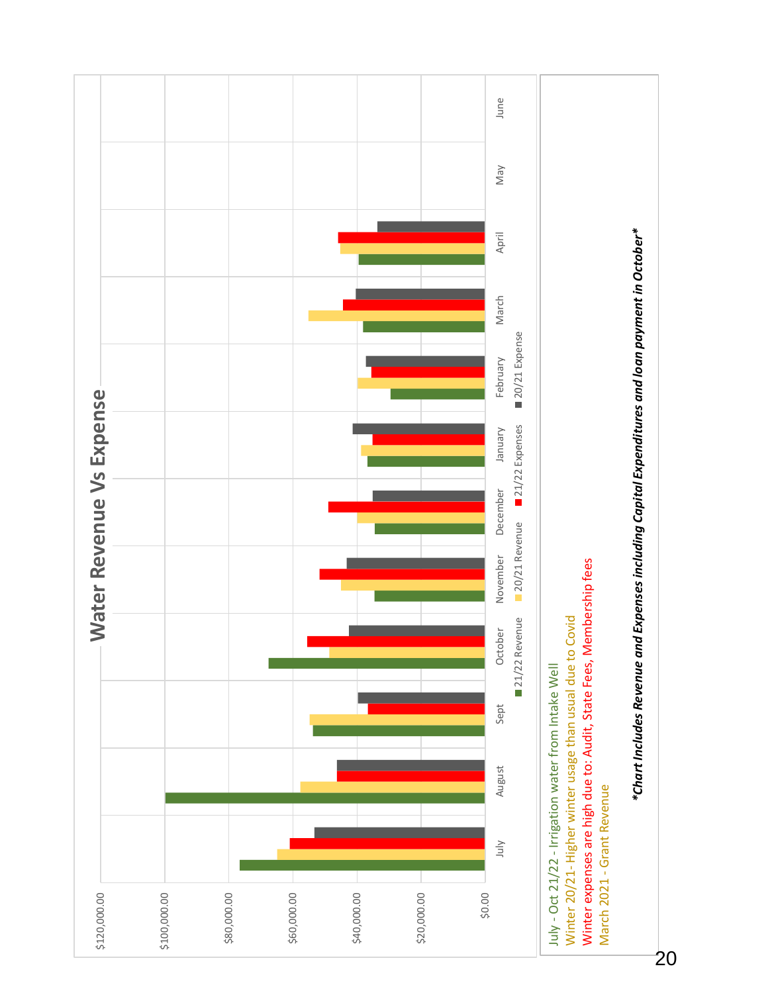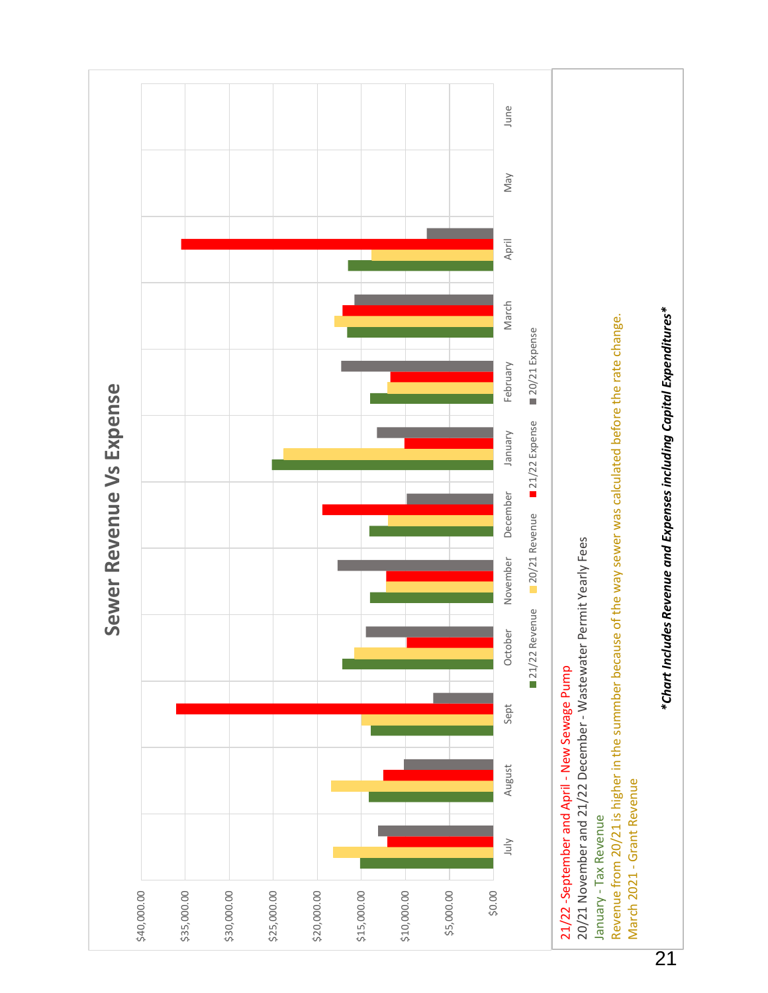